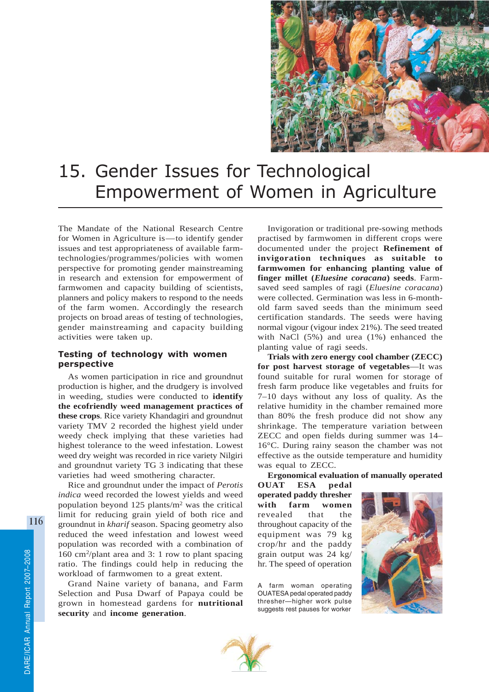

# 15. Gender Issues for Technological Empowerment of Women in Agriculture

The Mandate of the National Research Centre for Women in Agriculture is—to identify gender issues and test appropriateness of available farmtechnologies/programmes/policies with women perspective for promoting gender mainstreaming in research and extension for empowerment of farmwomen and capacity building of scientists, planners and policy makers to respond to the needs of the farm women. Accordingly the research projects on broad areas of testing of technologies, gender mainstreaming and capacity building activities were taken up.

## Testing of technology with women perspective

As women participation in rice and groundnut production is higher, and the drudgery is involved in weeding, studies were conducted to **identify the ecofriendly weed management practices of these crops**. Rice variety Khandagiri and groundnut variety TMV 2 recorded the highest yield under weedy check implying that these varieties had highest tolerance to the weed infestation. Lowest weed dry weight was recorded in rice variety Nilgiri and groundnut variety TG 3 indicating that these varieties had weed smothering character.

Rice and groundnut under the impact of *Perotis indica* weed recorded the lowest yields and weed population beyond 125 plants/m2 was the critical limit for reducing grain yield of both rice and groundnut in *kharif* season. Spacing geometry also reduced the weed infestation and lowest weed population was recorded with a combination of 160 cm2/plant area and 3: 1 row to plant spacing ratio. The findings could help in reducing the workload of farmwomen to a great extent.

Grand Naine variety of banana, and Farm Selection and Pusa Dwarf of Papaya could be grown in homestead gardens for **nutritional security** and **income generation**.

Invigoration or traditional pre-sowing methods practised by farmwomen in different crops were documented under the project **Refinement of invigoration techniques as suitable to farmwomen for enhancing planting value of finger millet (***Eluesine coracana***) seeds**. Farmsaved seed samples of ragi (*Eluesine coracana*) were collected. Germination was less in 6-monthold farm saved seeds than the minimum seed certification standards. The seeds were having normal vigour (vigour index 21%). The seed treated with NaCl (5%) and urea (1%) enhanced the planting value of ragi seeds.

**Trials with zero energy cool chamber (ZECC) for post harvest storage of vegetables**—It was found suitable for rural women for storage of fresh farm produce like vegetables and fruits for 7–10 days without any loss of quality. As the relative humidity in the chamber remained more than 80% the fresh produce did not show any shrinkage. The temperature variation between ZECC and open fields during summer was 14– 16°C. During rainy season the chamber was not effective as the outside temperature and humidity was equal to ZECC.

**Ergonomical evaluation of manually operated**

**OUAT ESA pedal operated paddy thresher with farm women** revealed that the throughout capacity of the equipment was 79 kg crop/hr and the paddy grain output was 24 kg/ hr. The speed of operation

A farm woman operating OUATESA pedal operated paddy thresher—higher work pulse suggests rest pauses for worker



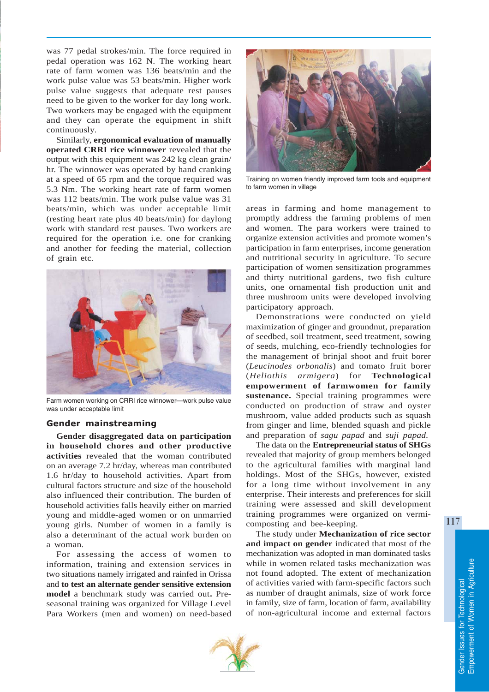was 77 pedal strokes/min. The force required in pedal operation was 162 N. The working heart rate of farm women was 136 beats/min and the work pulse value was 53 beats/min. Higher work pulse value suggests that adequate rest pauses need to be given to the worker for day long work. Two workers may be engaged with the equipment and they can operate the equipment in shift continuously.

Similarly, **ergonomical evaluation of manually operated CRRI rice winnower** revealed that the output with this equipment was 242 kg clean grain/ hr. The winnower was operated by hand cranking at a speed of 65 rpm and the torque required was 5.3 Nm. The working heart rate of farm women was 112 beats/min. The work pulse value was 31 beats/min, which was under acceptable limit (resting heart rate plus 40 beats/min) for daylong work with standard rest pauses. Two workers are required for the operation i.e. one for cranking and another for feeding the material, collection of grain etc.



Farm women working on CRRI rice winnower—work pulse value was under acceptable limit

#### Gender mainstreaming

**Gender disaggregated data on participation in household chores and other productive activities** revealed that the woman contributed on an average 7.2 hr/day, whereas man contributed 1.6 hr/day to household activities. Apart from cultural factors structure and size of the household also influenced their contribution. The burden of household activities falls heavily either on married young and middle-aged women or on unmarried young girls. Number of women in a family is also a determinant of the actual work burden on a woman.

For assessing the access of women to information, training and extension services in two situations namely irrigated and rainfed in Orissa and **to test an alternate gender sensitive extension model** a benchmark study was carried out**.** Preseasonal training was organized for Village Level Para Workers (men and women) on need-based



Training on women friendly improved farm tools and equipment to farm women in village

areas in farming and home management to promptly address the farming problems of men and women. The para workers were trained to organize extension activities and promote women's participation in farm enterprises, income generation and nutritional security in agriculture. To secure participation of women sensitization programmes and thirty nutritional gardens, two fish culture units, one ornamental fish production unit and three mushroom units were developed involving participatory approach.

Demonstrations were conducted on yield maximization of ginger and groundnut, preparation of seedbed, soil treatment, seed treatment, sowing of seeds, mulching, eco-friendly technologies for the management of brinjal shoot and fruit borer (*Leucinodes orbonalis*) and tomato fruit borer (*Heliothis armigera*) for **Technological empowerment of farmwomen for family sustenance.** Special training programmes were conducted on production of straw and oyster mushroom, value added products such as squash from ginger and lime, blended squash and pickle and preparation of *sagu papad* and *suji papad*.

The data on the **Entrepreneurial status of SHGs** revealed that majority of group members belonged to the agricultural families with marginal land holdings. Most of the SHGs, however, existed for a long time without involvement in any enterprise. Their interests and preferences for skill training were assessed and skill development training programmes were organized on vermicomposting and bee-keeping.

The study under **Mechanization of rice sector and impact on gender** indicated that most of the mechanization was adopted in man dominated tasks while in women related tasks mechanization was not found adopted. The extent of mechanization of activities varied with farm-specific factors such as number of draught animals, size of work force in family, size of farm, location of farm, availability of non-agricultural income and external factors